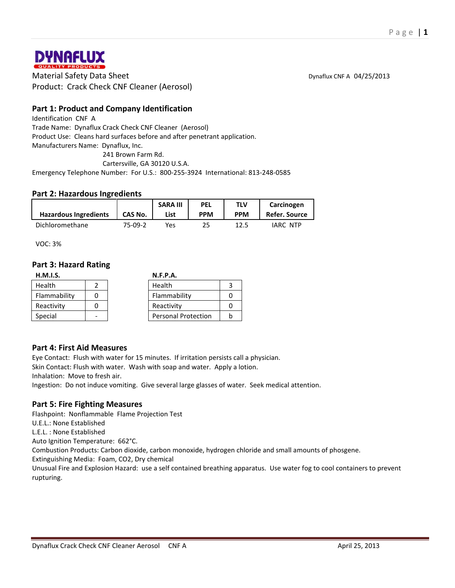

**MATEUX**<br> **Material Safety Data Sheet** Dynaflux CNF A 04/25/2013<br>
Dynaflux CNF A 04/25/2013 Product: Crack Check CNF Cleaner (Aerosol)

## **Part 1: Product and Company Identification**

Identification CNF A Trade Name: Dynaflux Crack Check CNF Cleaner (Aerosol) Product Use: Cleans hard surfaces before and after penetrant application. Manufacturers Name: Dynaflux, Inc. 241 Brown Farm Rd.

Cartersville, GA 30120 U.S.A.

Emergency Telephone Number: For U.S.: 800-255-3924 International: 813-248-0585

#### **Part 2: Hazardous Ingredients**

|                              |         | <b>SARA III</b> | <b>PEL</b> | TLV        | Carcinogen    |
|------------------------------|---------|-----------------|------------|------------|---------------|
| <b>Hazardous Ingredients</b> | CAS No. | List            | <b>PPM</b> | <b>PPM</b> | Refer. Source |
| Dichloromethane              | 75-09-2 | Yes             | 25         |            | IARC NTP      |

VOC: 3%

#### **Part 3: Hazard Rating**

| H.M.I.S.      | <b>N.F.P.A.</b>            |  |
|---------------|----------------------------|--|
| <b>Health</b> | Health                     |  |
| Flammability  | Flammability               |  |
| Reactivity    | Reactivity                 |  |
| Special       | <b>Personal Protection</b> |  |

#### **Part 4: First Aid Measures**

Eye Contact: Flush with water for 15 minutes. If irritation persists call a physician. Skin Contact: Flush with water. Wash with soap and water. Apply a lotion.

Inhalation: Move to fresh air.

Ingestion: Do not induce vomiting. Give several large glasses of water. Seek medical attention.

#### **Part 5: Fire Fighting Measures**

Flashpoint: Nonflammable Flame Projection Test U.E.L.: None Established L.E.L. : None Established Auto Ignition Temperature: 662°C. Combustion Products: Carbon dioxide, carbon monoxide, hydrogen chloride and small amounts of phosgene. Extinguishing Media: Foam, CO2, Dry chemical Unusual Fire and Explosion Hazard: use a self contained breathing apparatus. Use water fog to cool containers to prevent rupturing.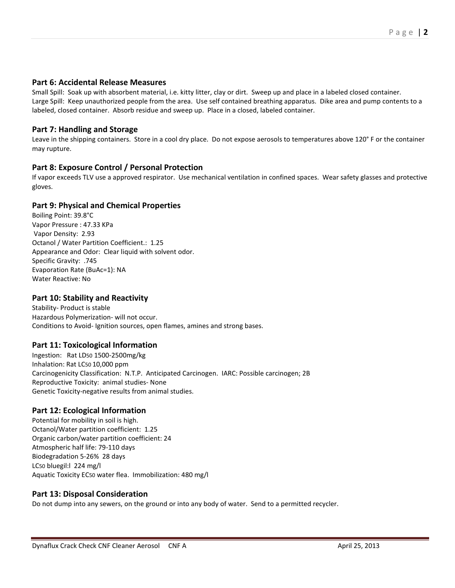## **Part 6: Accidental Release Measures**

Small Spill: Soak up with absorbent material, i.e. kitty litter, clay or dirt. Sweep up and place in a labeled closed container. Large Spill: Keep unauthorized people from the area. Use self contained breathing apparatus. Dike area and pump contents to a labeled, closed container. Absorb residue and sweep up. Place in a closed, labeled container.

#### **Part 7: Handling and Storage**

Leave in the shipping containers. Store in a cool dry place. Do not expose aerosols to temperatures above 120° F or the container may rupture.

## **Part 8: Exposure Control / Personal Protection**

If vapor exceeds TLV use a approved respirator. Use mechanical ventilation in confined spaces. Wear safety glasses and protective gloves.

#### **Part 9: Physical and Chemical Properties**

Boiling Point: 39.8°C Vapor Pressure : 47.33 KPa Vapor Density: 2.93 Octanol / Water Partition Coefficient.: 1.25 Appearance and Odor: Clear liquid with solvent odor. Specific Gravity: .745 Evaporation Rate (BuAc=1): NA Water Reactive: No

### **Part 10: Stability and Reactivity**

Stability- Product is stable Hazardous Polymerization- will not occur. Conditions to Avoid- Ignition sources, open flames, amines and strong bases.

#### **Part 11: Toxicological Information**

Ingestion: Rat LD50 1500-2500mg/kg Inhalation: Rat LC50 10,000 ppm Carcinogenicity Classification: N.T.P. Anticipated Carcinogen. IARC: Possible carcinogen; 2B Reproductive Toxicity: animal studies- None Genetic Toxicity-negative results from animal studies.

## **Part 12: Ecological Information**

Potential for mobility in soil is high. Octanol/Water partition coefficient: 1.25 Organic carbon/water partition coefficient: 24 Atmospheric half life: 79-110 days Biodegradation 5-26% 28 days LC50 bluegil:l 224 mg/l Aquatic Toxicity EC50 water flea. Immobilization: 480 mg/l

## **Part 13: Disposal Consideration**

Do not dump into any sewers, on the ground or into any body of water. Send to a permitted recycler.